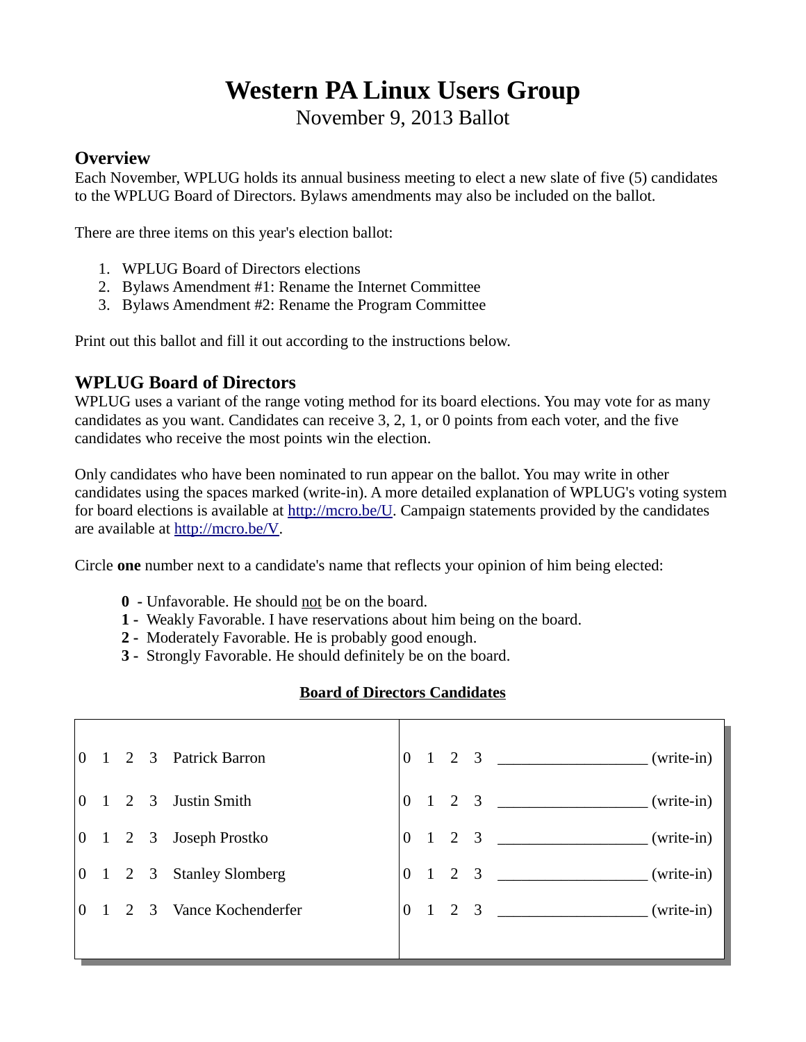# **Western PA Linux Users Group**

November 9, 2013 Ballot

#### **Overview**

Each November, WPLUG holds its annual business meeting to elect a new slate of five (5) candidates to the WPLUG Board of Directors. Bylaws amendments may also be included on the ballot.

There are three items on this year's election ballot:

- 1. WPLUG Board of Directors elections
- 2. Bylaws Amendment #1: Rename the Internet Committee
- 3. Bylaws Amendment #2: Rename the Program Committee

Print out this ballot and fill it out according to the instructions below.

### **WPLUG Board of Directors**

WPLUG uses a variant of the range voting method for its board elections. You may vote for as many candidates as you want. Candidates can receive 3, 2, 1, or 0 points from each voter, and the five candidates who receive the most points win the election.

Only candidates who have been nominated to run appear on the ballot. You may write in other candidates using the spaces marked (write-in). A more detailed explanation of WPLUG's voting system for board elections is available at [http://mcro.be/U.](http://mcro.be/U) Campaign statements provided by the candidates are available at [http://mcro.be/V.](http://mcro.be/V)

Circle **one** number next to a candidate's name that reflects your opinion of him being elected:

- **0** Unfavorable. He should not be on the board.
- **1** Weakly Favorable. I have reservations about him being on the board.
- **2** Moderately Favorable. He is probably good enough.
- **3** Strongly Favorable. He should definitely be on the board.

#### **Board of Directors Candidates**

| $\Omega$       |                   | 1 2 3 Patrick Barron   | $\overline{0}$ |                |     |                                                                                 |
|----------------|-------------------|------------------------|----------------|----------------|-----|---------------------------------------------------------------------------------|
| $\Omega$       | $1\quad 2\quad 3$ | Justin Smith           | $\overline{0}$ |                |     | $1 \quad 2 \quad 3 \quad \text{(write-in)}$                                     |
|                |                   | 0 1 2 3 Joseph Prostko | $\overline{0}$ | $\overline{1}$ |     | 2 3 ________________________(write-in)                                          |
| $\overline{0}$ |                   | 1 2 3 Stanley Slomberg | $\Omega$       | $\overline{1}$ | 2 3 | $\frac{1}{\sqrt{1-\frac{1}{2}}\left(\frac{1}{2}-\frac{1}{2}\right)}$ (write-in) |
|                |                   | 2 3 Vance Kochenderfer | $\Omega$       |                |     | $1 \quad 2 \quad 3 \quad \text{Write-in}$                                       |
|                |                   |                        |                |                |     |                                                                                 |